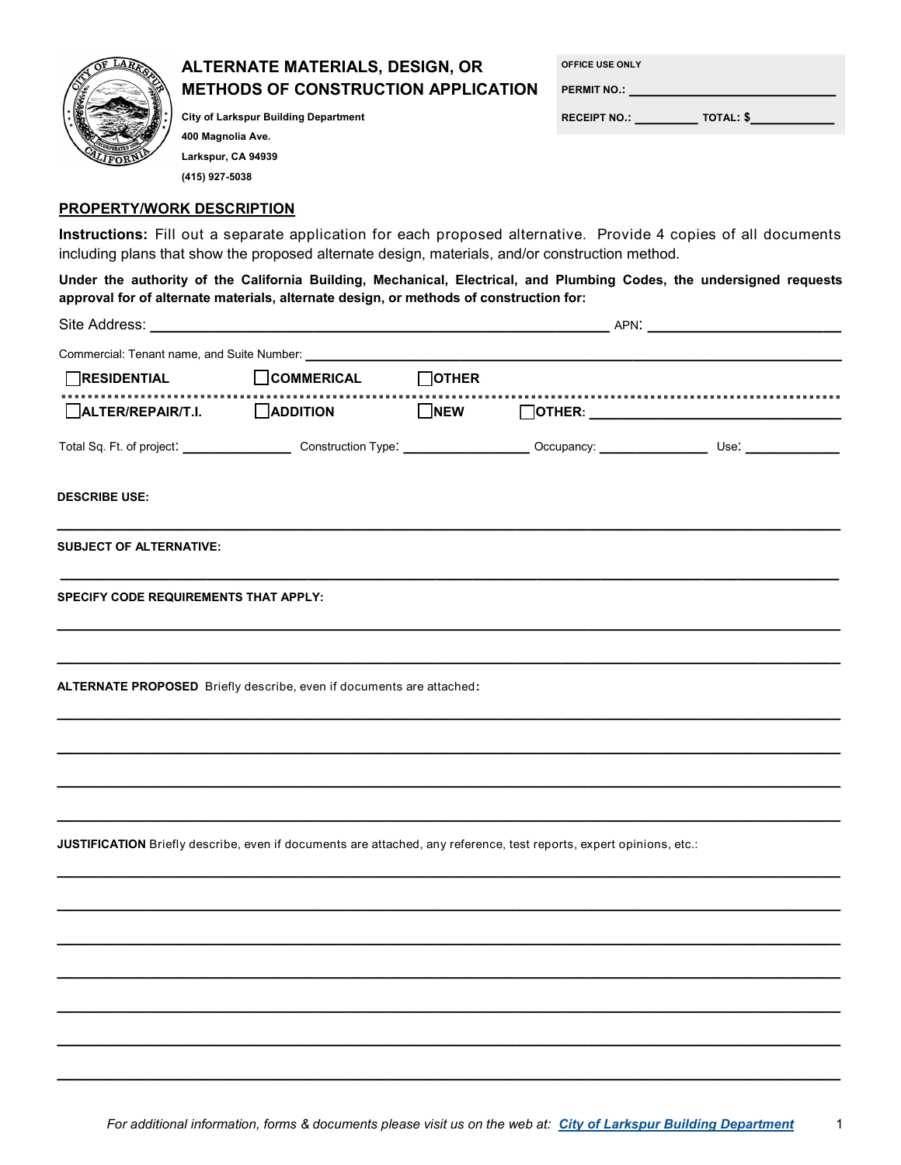

## **ALTERNATE MATERIALS, DESIGN, OR METHODS OF CONSTRUCTION APPLICATION**

**OFFICE USE ONLY**

**PERMIT NO.: \_\_\_\_\_\_\_\_\_\_\_\_\_\_\_\_\_\_\_\_\_\_\_**

**RECEIPT NO.: \_\_\_\_\_\_\_ TOTAL: \$\_\_\_\_\_\_\_\_\_**

**City of Larkspur Building Department 400 Magnolia Ave. Larkspur, CA 94939 (415) 927-5038**

## **PROPERTY/WORK DESCRIPTION**

**Instructions:** Fill out a separate application for each proposed alternative. Provide 4 copies of all documents including plans that show the proposed alternate design, materials, and/or construction method.

**Under the authority of the California Building, Mechanical, Electrical, and Plumbing Codes, the undersigned requests approval for of alternate materials, alternate design, or methods of construction for:**

| Site Address: _                                                                                                     |                   |              | _ APN: _____________ |  |  |
|---------------------------------------------------------------------------------------------------------------------|-------------------|--------------|----------------------|--|--|
| Commercial: Tenant name, and Suite Number:                                                                          |                   |              |                      |  |  |
| RESIDENTIAL                                                                                                         | $\Box$ COMMERICAL | $\Box$ OTHER |                      |  |  |
| $\Box$ ALTER/REPAIR/T.I. $\Box$ ADDITION                                                                            |                   | $\Box$ NEW   |                      |  |  |
|                                                                                                                     |                   |              |                      |  |  |
| <b>DESCRIBE USE:</b>                                                                                                |                   |              |                      |  |  |
| <b>SUBJECT OF ALTERNATIVE:</b>                                                                                      |                   |              |                      |  |  |
| <b>SPECIFY CODE REQUIREMENTS THAT APPLY:</b>                                                                        |                   |              |                      |  |  |
|                                                                                                                     |                   |              |                      |  |  |
| ALTERNATE PROPOSED Briefly describe, even if documents are attached:                                                |                   |              |                      |  |  |
|                                                                                                                     |                   |              |                      |  |  |
|                                                                                                                     |                   |              |                      |  |  |
|                                                                                                                     |                   |              |                      |  |  |
| JUSTIFICATION Briefly describe, even if documents are attached, any reference, test reports, expert opinions, etc.: |                   |              |                      |  |  |
|                                                                                                                     |                   |              |                      |  |  |
|                                                                                                                     |                   |              |                      |  |  |
|                                                                                                                     |                   |              |                      |  |  |
|                                                                                                                     |                   |              |                      |  |  |
|                                                                                                                     |                   |              |                      |  |  |

**\_\_\_\_\_\_\_\_\_\_\_\_\_\_\_\_\_\_\_\_\_\_\_\_\_\_\_\_\_\_\_\_\_\_\_\_\_\_\_\_\_\_\_\_\_\_\_\_\_\_\_\_\_\_\_\_\_\_\_\_\_\_\_\_\_\_\_\_\_\_\_\_\_\_\_\_\_\_\_\_\_\_\_\_\_\_\_**